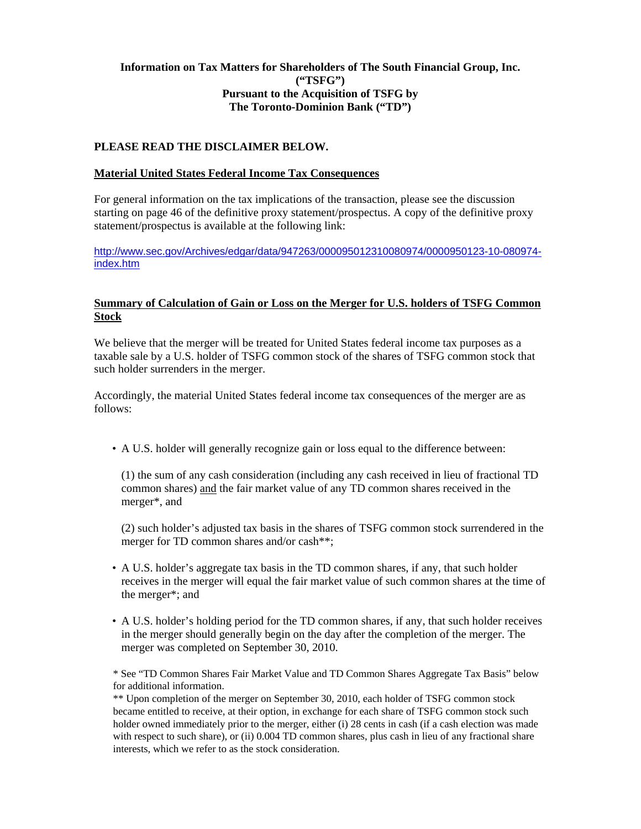## **Information on Tax Matters for Shareholders of The South Financial Group, Inc. ("TSFG") Pursuant to the Acquisition of TSFG by The Toronto-Dominion Bank ("TD")**

# **PLEASE READ THE DISCLAIMER BELOW.**

#### **Material United States Federal Income Tax Consequences**

For general information on the tax implications of the transaction, please see the discussion starting on page 46 of the definitive proxy statement/prospectus. A copy of the definitive proxy statement/prospectus is available at the following link:

http://www.sec.gov/Archives/edgar/data/947263/000095012310080974/0000950123-10-080974 index.htm

### **Summary of Calculation of Gain or Loss on the Merger for U.S. holders of TSFG Common Stock**

We believe that the merger will be treated for United States federal income tax purposes as a taxable sale by a U.S. holder of TSFG common stock of the shares of TSFG common stock that such holder surrenders in the merger.

Accordingly, the material United States federal income tax consequences of the merger are as follows:

• A U.S. holder will generally recognize gain or loss equal to the difference between:

(1) the sum of any cash consideration (including any cash received in lieu of fractional TD common shares) and the fair market value of any TD common shares received in the merger\*, and

(2) such holder's adjusted tax basis in the shares of TSFG common stock surrendered in the merger for TD common shares and/or cash\*\*;

- A U.S. holder's aggregate tax basis in the TD common shares, if any, that such holder receives in the merger will equal the fair market value of such common shares at the time of the merger\*; and
- A U.S. holder's holding period for the TD common shares, if any, that such holder receives in the merger should generally begin on the day after the completion of the merger. The merger was completed on September 30, 2010.

\* See "TD Common Shares Fair Market Value and TD Common Shares Aggregate Tax Basis" below for additional information.

\*\* Upon completion of the merger on September 30, 2010, each holder of TSFG common stock became entitled to receive, at their option, in exchange for each share of TSFG common stock such holder owned immediately prior to the merger, either (i) 28 cents in cash (if a cash election was made with respect to such share), or (ii) 0.004 TD common shares, plus cash in lieu of any fractional share interests, which we refer to as the stock consideration.